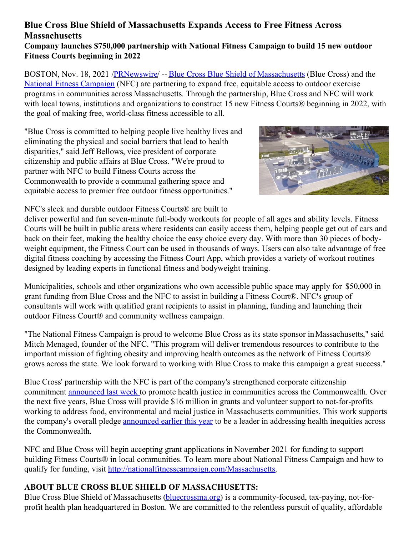## **Blue Cross Blue Shield of Massachusetts Expands Access to Free Fitness Across Massachusetts**

## **Company launches \$750,000 partnership with National Fitness Campaign to build 15 new outdoor Fitness Courts beginning in 2022**

BOSTON, Nov. 18, 2021 [/PRNewswire](http://www.prnewswire.com/)/ -- Blue Cross Blue Shield of [Massachusetts](https://c212.net/c/link/?t=0&l=en&o=3364571-1&h=1308649371&u=http%3A%2F%2Fwww.bluecrossma.org%2F&a=Blue+Cross+Blue+Shield+of+Massachusetts) (Blue Cross) and the National Fitness [Campaign](https://c212.net/c/link/?t=0&l=en&o=3364571-1&h=2804320018&u=https%3A%2F%2Fnationalfitnesscampaign.com%2F&a=National+Fitness+Campaign) (NFC) are partnering to expand free, equitable access to outdoor exercise programs in communities across Massachusetts. Through the partnership, Blue Cross and NFC will work with local towns, institutions and organizations to construct 15 new Fitness Courts<sup>®</sup> beginning in 2022, with the goal of making free, world-class fitness accessible to all.

"Blue Cross is committed to helping people live healthy lives and eliminating the physical and social barriers that lead to health disparities," said Jeff Bellows, vice president of corporate citizenship and public affairs at Blue Cross. "We're proud to partner with NFC to build Fitness Courts across the Commonwealth to provide a communal gathering space and equitable access to premier free outdoor fitness opportunities."



NFC's sleek and durable outdoor Fitness Courts® are built to

deliver powerful and fun seven-minute full-body workouts for people of all ages and ability levels. Fitness Courts will be built in public areas where residents can easily access them, helping people get out of cars and back on their feet, making the healthy choice the easy choice every day. With more than 30 pieces of bodyweight equipment, the Fitness Court can be used in thousands of ways. Users can also take advantage of free digital fitness coaching by accessing the Fitness Court App, which provides a variety of workout routines designed by leading experts in functional fitness and bodyweight training.

Municipalities, schools and other organizations who own accessible public space may apply for \$50,000 in grant funding from Blue Cross and the NFC to assist in building a Fitness Court®. NFC's group of consultants will work with qualified grant recipients to assist in planning, funding and launching their outdoor Fitness Court® and community wellness campaign.

"The National Fitness Campaign is proud to welcome Blue Cross as its state sponsor inMassachusetts," said Mitch Menaged, founder of the NFC. "This program will deliver tremendous resources to contribute to the important mission of fighting obesity and improving health outcomes as the network of Fitness Courts® grows across the state. We look forward to working with Blue Cross to make this campaign a great success."

Blue Cross' partnership with the NFC is part of the company's strengthened corporate citizenship commitment [announced](https://c212.net/c/link/?t=0&l=en&o=3364571-1&h=2444366374&u=https%3A%2F%2Fnewsroom.bluecrossma.com%2F2021-11-09-Blue-Cross-Blue-Shield-of-Massachusetts-Commits-16M-to-Promote-Health-Justice-Across-the-Commonwealth&a=announced+last+week%C2%A0) last week to promote health justice in communities across the Commonwealth. Over the next five years, Blue Cross will provide \$16 million in grants and volunteer support to not-for-profits working to address food, environmental and racial justice in Massachusetts communities. This work supports the company's overall pledge [announced](https://c212.net/c/link/?t=0&l=en&o=3364571-1&h=958411788&u=https%3A%2F%2Fc212.net%2Fc%2Flink%2F%3Ft%3D0%26l%3Den%26o%3D3300843-1%26h%3D253075274%26u%3Dhttps%253A%252F%252Fnewsroom.bluecrossma.com%252F2021-02-03-Blue-Cross-Blue-Shield-of-Massachusetts-Announces-Bold-Plan-to-Address-Health-Inequities-and-Racial-Justice%26a%3Dannounced%2Bearlier%2Bthis%2Byear&a=announced+earlier+this+year) earlier this year to be a leader in addressing health inequities across the Commonwealth.

NFC and Blue Cross will begin accepting grant applications in November 2021 for funding to support building Fitness Courts® in local communities. To learn more about National Fitness Campaign and how to qualify for funding, visit [http://nationalfitnesscampaign.com/Massachusetts](https://c212.net/c/link/?t=0&l=en&o=3364571-1&h=4116346192&u=http%3A%2F%2Fnationalfitnesscampaign.com%2FMassachusetts&a=http%3A%2F%2Fnationalfitnesscampaign.com%2FMassachusetts).

## **ABOUT BLUE CROSS BLUE SHIELD OF MASSACHUSETTS:**

Blue Cross Blue Shield of Massachusetts [\(bluecrossma.org](https://c212.net/c/link/?t=0&l=en&o=3364571-1&h=314332199&u=https%3A%2F%2Fc212.net%2Fc%2Flink%2F%3Ft%3D0%26l%3Den%26o%3D3001617-1%26h%3D2897828333%26u%3Dhttps%253A%252F%252Fc212.net%252Fc%252Flink%252F%253Ft%253D0%2526l%253Den%2526o%253D2840663-1%2526h%253D3724038522%2526u%253Dhttp%25253A%25252F%25252Fwww.bluecrossma.com%25252F%2526a%253Dbluecrossma.com%26a%3Dbluecrossma.org&a=bluecrossma.org)) is a community-focused, tax-paying, not-forprofit health plan headquartered in Boston. We are committed to the relentless pursuit of quality, affordable